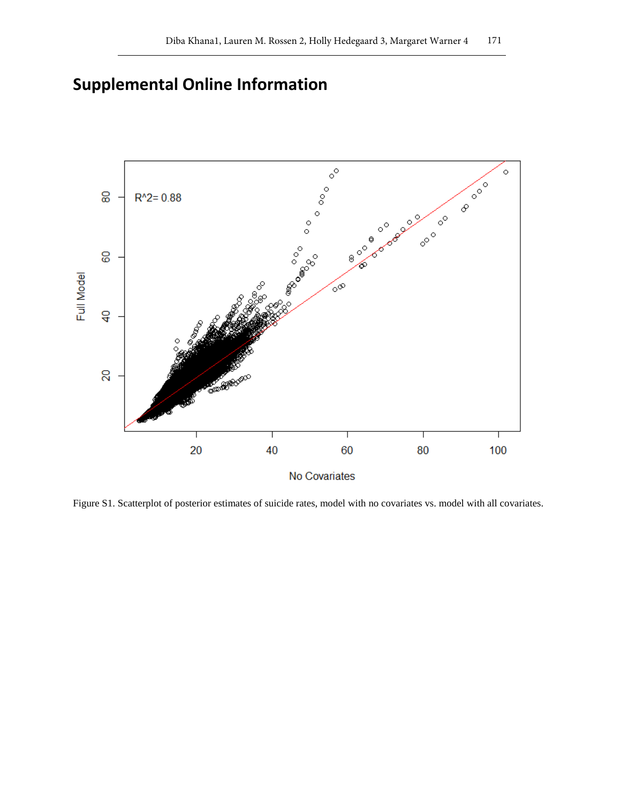## **Supplemental Online Information**



Figure S1. Scatterplot of posterior estimates of suicide rates, model with no covariates vs. model with all covariates.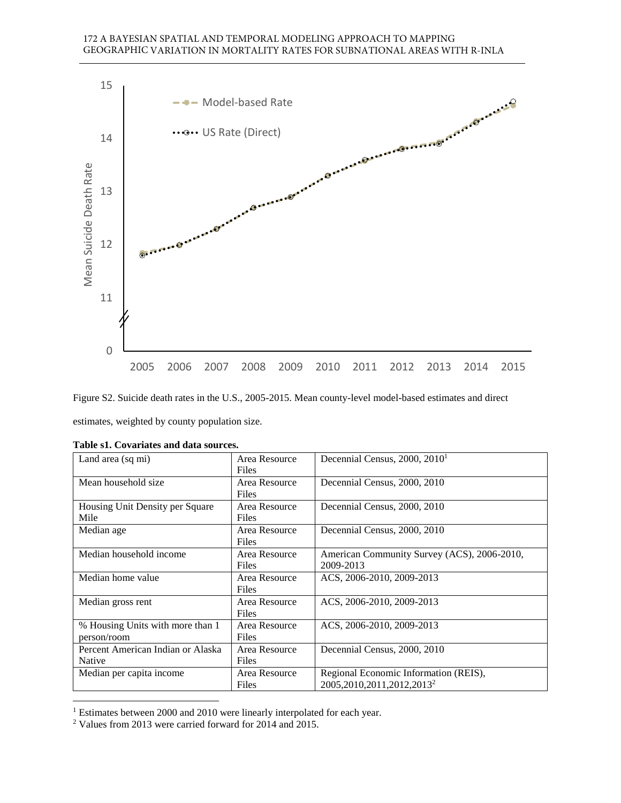

Figure S2. Suicide death rates in the U.S., 2005-2015. Mean county-level model-based estimates and direct estimates, weighted by county population size.

| Land area (sq mi)                 | Area Resource | Decennial Census, 2000, 2010 <sup>1</sup>   |
|-----------------------------------|---------------|---------------------------------------------|
|                                   | <b>Files</b>  |                                             |
| Mean household size               | Area Resource | Decennial Census, 2000, 2010                |
|                                   | Files         |                                             |
| Housing Unit Density per Square   | Area Resource | Decennial Census, 2000, 2010                |
| Mile                              | Files         |                                             |
| Median age                        | Area Resource | Decennial Census, 2000, 2010                |
|                                   | Files         |                                             |
| Median household income           | Area Resource | American Community Survey (ACS), 2006-2010, |
|                                   | <b>Files</b>  | 2009-2013                                   |
| Median home value                 | Area Resource | ACS, 2006-2010, 2009-2013                   |
|                                   | Files         |                                             |
| Median gross rent                 | Area Resource | ACS, 2006-2010, 2009-2013                   |
|                                   | <b>Files</b>  |                                             |
| % Housing Units with more than 1  | Area Resource | ACS, 2006-2010, 2009-2013                   |
| person/room                       | <b>Files</b>  |                                             |
| Percent American Indian or Alaska | Area Resource | Decennial Census, 2000, 2010                |
| Native                            | Files         |                                             |
| Median per capita income          | Area Resource | Regional Economic Information (REIS),       |
|                                   | Files         | 2005, 2010, 2011, 2012, 2013 <sup>2</sup>   |

| Table s1. Covariates and data sources. |
|----------------------------------------|
|----------------------------------------|

<sup>&</sup>lt;sup>1</sup> Estimates between 2000 and 2010 were linearly interpolated for each year.

<sup>&</sup>lt;sup>2</sup> Values from 2013 were carried forward for 2014 and 2015.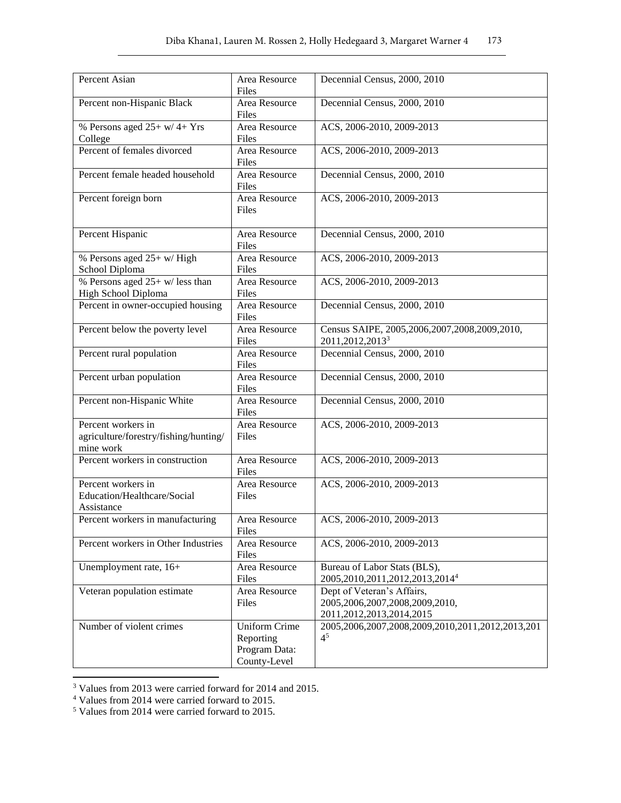| Percent Asian                                                            | Area Resource<br>Files                                             | Decennial Census, 2000, 2010                                                                      |
|--------------------------------------------------------------------------|--------------------------------------------------------------------|---------------------------------------------------------------------------------------------------|
| Percent non-Hispanic Black                                               | Area Resource<br>Files                                             | Decennial Census, 2000, 2010                                                                      |
| % Persons aged $25+ w/ 4+ Yrs$<br>College                                | Area Resource<br>Files                                             | ACS, 2006-2010, 2009-2013                                                                         |
| Percent of females divorced                                              | Area Resource<br>Files                                             | ACS, 2006-2010, 2009-2013                                                                         |
| Percent female headed household                                          | Area Resource<br>Files                                             | Decennial Census, 2000, 2010                                                                      |
| Percent foreign born                                                     | Area Resource<br>Files                                             | ACS, 2006-2010, 2009-2013                                                                         |
| Percent Hispanic                                                         | Area Resource<br>Files                                             | Decennial Census, 2000, 2010                                                                      |
| % Persons aged 25+ w/ High<br>School Diploma                             | Area Resource<br>Files                                             | ACS, 2006-2010, 2009-2013                                                                         |
| % Persons aged $25+$ w/ less than<br>High School Diploma                 | Area Resource<br>Files                                             | ACS, 2006-2010, 2009-2013                                                                         |
| Percent in owner-occupied housing                                        | Area Resource<br>Files                                             | Decennial Census, 2000, 2010                                                                      |
| Percent below the poverty level                                          | Area Resource<br>Files                                             | Census SAIPE, 2005,2006,2007,2008,2009,2010,<br>2011,2012,2013 <sup>3</sup>                       |
| Percent rural population                                                 | Area Resource<br>Files                                             | Decennial Census, 2000, 2010                                                                      |
| Percent urban population                                                 | Area Resource<br>Files                                             | Decennial Census, 2000, 2010                                                                      |
| Percent non-Hispanic White                                               | Area Resource<br>Files                                             | Decennial Census, 2000, 2010                                                                      |
| Percent workers in<br>agriculture/forestry/fishing/hunting/<br>mine work | Area Resource<br>Files                                             | ACS, 2006-2010, 2009-2013                                                                         |
| Percent workers in construction                                          | Area Resource<br>Files                                             | ACS, 2006-2010, 2009-2013                                                                         |
| Percent workers in<br>Education/Healthcare/Social<br>Assistance          | Area Resource<br>Files                                             | ACS, 2006-2010, 2009-2013                                                                         |
| Percent workers in manufacturing                                         | Area Resource<br>Files                                             | ACS, 2006-2010, 2009-2013                                                                         |
| Percent workers in Other Industries                                      | Area Resource<br>Files                                             | ACS, 2006-2010, 2009-2013                                                                         |
| Unemployment rate, 16+                                                   | Area Resource<br>Files                                             | Bureau of Labor Stats (BLS),<br>2005, 2010, 2011, 2012, 2013, 2014 <sup>4</sup>                   |
| Veteran population estimate                                              | Area Resource<br>Files                                             | Dept of Veteran's Affairs,<br>2005, 2006, 2007, 2008, 2009, 2010,<br>2011, 2012, 2013, 2014, 2015 |
| Number of violent crimes                                                 | <b>Uniform Crime</b><br>Reporting<br>Program Data:<br>County-Level | 2005, 2006, 2007, 2008, 2009, 2010, 2011, 2012, 2013, 201<br>4 <sup>5</sup>                       |

<sup>&</sup>lt;sup>3</sup> Values from 2013 were carried forward for 2014 and 2015.<br><sup>4</sup> Values from 2014 were carried forward to 2015.<br><sup>5</sup> Values from 2014 were carried forward to 2015.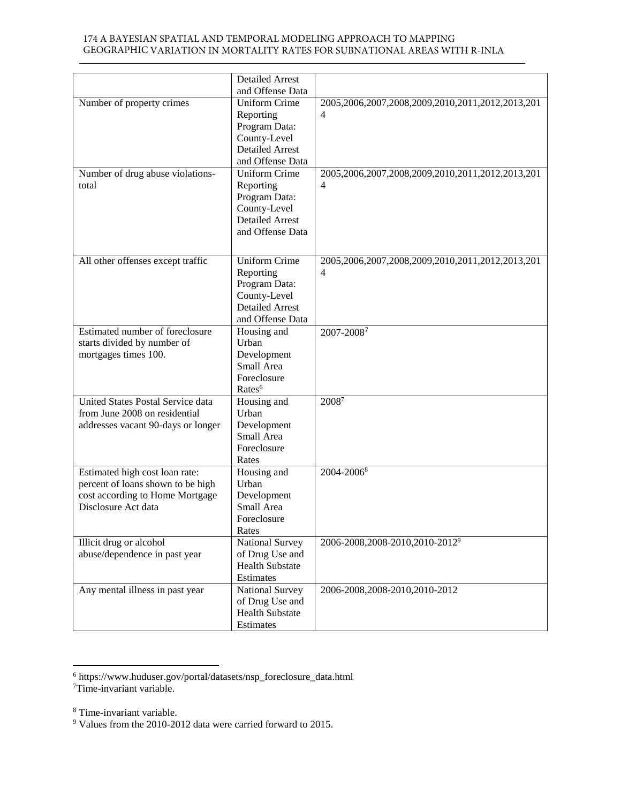## 174 A BAYESIAN SPATIAL AND TEMPORAL MODELING APPROACH TO MAPPING GEOGRAPHIC VARIATION IN MORTALITY RATES FOR SUBNATIONAL AREAS WITH R-INLA

|                                          | <b>Detailed Arrest</b>    |                                                           |
|------------------------------------------|---------------------------|-----------------------------------------------------------|
|                                          | and Offense Data          |                                                           |
| Number of property crimes                | <b>Uniform Crime</b>      | 2005, 2006, 2007, 2008, 2009, 2010, 2011, 2012, 2013, 201 |
|                                          | Reporting                 | $\overline{4}$                                            |
|                                          | Program Data:             |                                                           |
|                                          | County-Level              |                                                           |
|                                          | <b>Detailed Arrest</b>    |                                                           |
|                                          | and Offense Data          |                                                           |
| Number of drug abuse violations-         | <b>Uniform Crime</b>      | 2005,2006,2007,2008,2009,2010,2011,2012,2013,201          |
| total                                    | Reporting                 | 4                                                         |
|                                          | Program Data:             |                                                           |
|                                          | County-Level              |                                                           |
|                                          | <b>Detailed Arrest</b>    |                                                           |
|                                          | and Offense Data          |                                                           |
|                                          |                           |                                                           |
| All other offenses except traffic        | <b>Uniform Crime</b>      | 2005, 2006, 2007, 2008, 2009, 2010, 2011, 2012, 2013, 201 |
|                                          | Reporting                 | $\overline{4}$                                            |
|                                          | Program Data:             |                                                           |
|                                          | County-Level              |                                                           |
|                                          | <b>Detailed Arrest</b>    |                                                           |
|                                          | and Offense Data          |                                                           |
| Estimated number of foreclosure          | Housing and               | 2007-20087                                                |
| starts divided by number of              | Urban                     |                                                           |
| mortgages times 100.                     | Development               |                                                           |
|                                          | Small Area                |                                                           |
|                                          | Foreclosure               |                                                           |
|                                          | Rates <sup>6</sup>        |                                                           |
| <b>United States Postal Service data</b> | Housing and               | 20087                                                     |
| from June 2008 on residential            | Urban                     |                                                           |
|                                          |                           |                                                           |
| addresses vacant 90-days or longer       | Development               |                                                           |
|                                          | Small Area                |                                                           |
|                                          | Foreclosure               |                                                           |
|                                          | Rates                     |                                                           |
| Estimated high cost loan rate:           | Housing and<br>Urban      | 2004-20068                                                |
| percent of loans shown to be high        |                           |                                                           |
| cost according to Home Mortgage          | Development<br>Small Area |                                                           |
| Disclosure Act data                      |                           |                                                           |
|                                          | Foreclosure               |                                                           |
|                                          | Rates                     |                                                           |
| Illicit drug or alcohol                  | National Survey           | 2006-2008,2008-2010,2010-20129                            |
| abuse/dependence in past year            | of Drug Use and           |                                                           |
|                                          | <b>Health Substate</b>    |                                                           |
|                                          | Estimates                 |                                                           |
| Any mental illness in past year          | National Survey           | 2006-2008,2008-2010,2010-2012                             |
|                                          | of Drug Use and           |                                                           |
|                                          | <b>Health Substate</b>    |                                                           |
|                                          | Estimates                 |                                                           |

6 https://www.huduser.gov/portal/datasets/nsp\_foreclosure\_data.html

<sup>7</sup>Time-invariant variable.

<sup>8</sup> Time-invariant variable.

<sup>&</sup>lt;sup>9</sup> Values from the 2010-2012 data were carried forward to 2015.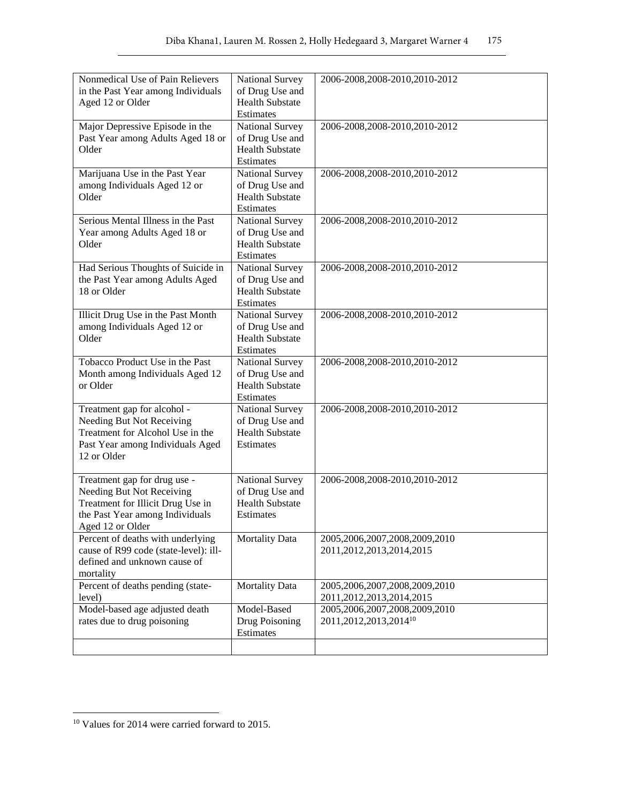| Nonmedical Use of Pain Relievers<br>in the Past Year among Individuals<br>Aged 12 or Older                                                            | National Survey<br>of Drug Use and<br><b>Health Substate</b>                           | 2006-2008,2008-2010,2010-2012                                         |
|-------------------------------------------------------------------------------------------------------------------------------------------------------|----------------------------------------------------------------------------------------|-----------------------------------------------------------------------|
| Major Depressive Episode in the<br>Past Year among Adults Aged 18 or<br>Older                                                                         | Estimates<br>National Survey<br>of Drug Use and<br><b>Health Substate</b><br>Estimates | 2006-2008,2008-2010,2010-2012                                         |
| Marijuana Use in the Past Year<br>among Individuals Aged 12 or<br>Older                                                                               | National Survey<br>of Drug Use and<br><b>Health Substate</b><br>Estimates              | 2006-2008,2008-2010,2010-2012                                         |
| Serious Mental Illness in the Past<br>Year among Adults Aged 18 or<br>Older                                                                           | National Survey<br>of Drug Use and<br><b>Health Substate</b><br>Estimates              | 2006-2008,2008-2010,2010-2012                                         |
| Had Serious Thoughts of Suicide in<br>the Past Year among Adults Aged<br>18 or Older                                                                  | National Survey<br>of Drug Use and<br><b>Health Substate</b><br>Estimates              | 2006-2008,2008-2010,2010-2012                                         |
| Illicit Drug Use in the Past Month<br>among Individuals Aged 12 or<br>Older                                                                           | National Survey<br>of Drug Use and<br><b>Health Substate</b><br>Estimates              | 2006-2008,2008-2010,2010-2012                                         |
| Tobacco Product Use in the Past<br>Month among Individuals Aged 12<br>or Older                                                                        | National Survey<br>of Drug Use and<br><b>Health Substate</b><br>Estimates              | 2006-2008,2008-2010,2010-2012                                         |
| Treatment gap for alcohol -<br>Needing But Not Receiving<br>Treatment for Alcohol Use in the<br>Past Year among Individuals Aged<br>12 or Older       | National Survey<br>of Drug Use and<br><b>Health Substate</b><br>Estimates              | 2006-2008,2008-2010,2010-2012                                         |
| Treatment gap for drug use -<br>Needing But Not Receiving<br>Treatment for Illicit Drug Use in<br>the Past Year among Individuals<br>Aged 12 or Older | National Survey<br>of Drug Use and<br><b>Health Substate</b><br>Estimates              | 2006-2008,2008-2010,2010-2012                                         |
| Percent of deaths with underlying<br>cause of R99 code (state-level): ill-<br>defined and unknown cause of<br>mortality                               | <b>Mortality Data</b>                                                                  | 2005,2006,2007,2008,2009,2010<br>2011, 2012, 2013, 2014, 2015         |
| Percent of deaths pending (state-<br>level)                                                                                                           | <b>Mortality Data</b>                                                                  | 2005,2006,2007,2008,2009,2010<br>2011, 2012, 2013, 2014, 2015         |
| Model-based age adjusted death<br>rates due to drug poisoning                                                                                         | Model-Based<br>Drug Poisoning<br>Estimates                                             | 2005,2006,2007,2008,2009,2010<br>2011, 2012, 2013, 2014 <sup>10</sup> |
|                                                                                                                                                       |                                                                                        |                                                                       |

<sup>10</sup> Values for 2014 were carried forward to 2015.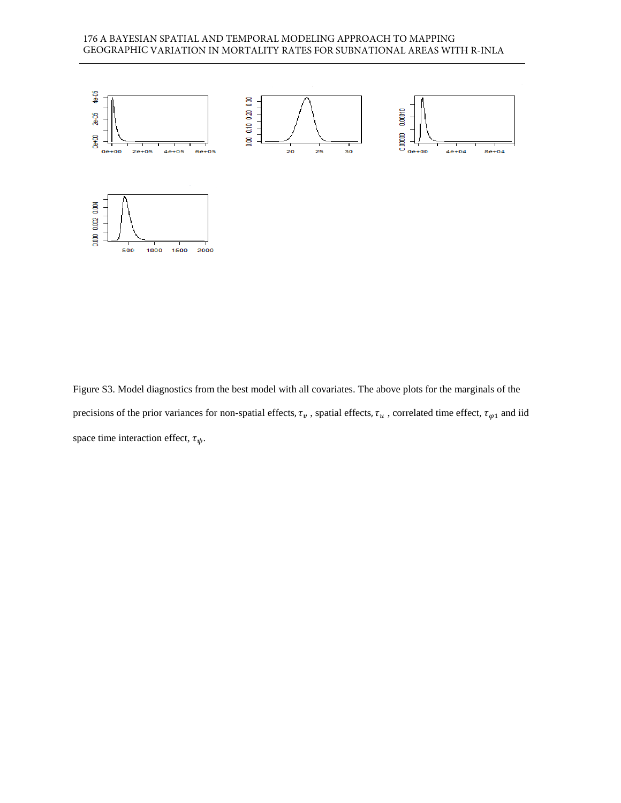## 176 A BAYESIAN SPATIAL AND TEMPORAL MODELING APPROACH TO MAPPING GEOGRAPHIC VARIATION IN MORTALITY RATES FOR SUBNATIONAL AREAS WITH R-INLA



Figure S3. Model diagnostics from the best model with all covariates. The above plots for the marginals of the precisions of the prior variances for non-spatial effects,  $\tau_v$ , spatial effects,  $\tau_u$ , correlated time effect,  $\tau_{\varphi 1}$  and iid space time interaction effect,  $\tau_{\psi}$ .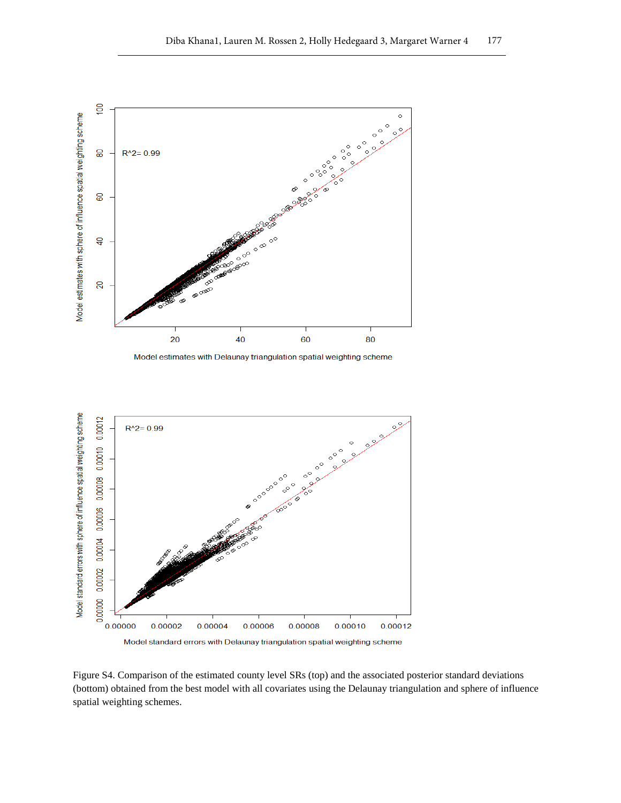

Model estimates with Delaunay triangulation spatial weighting scheme



Figure S4. Comparison of the estimated county level SRs (top) and the associated posterior standard deviations (bottom) obtained from the best model with all covariates using the Delaunay triangulation and sphere of influence spatial weighting schemes.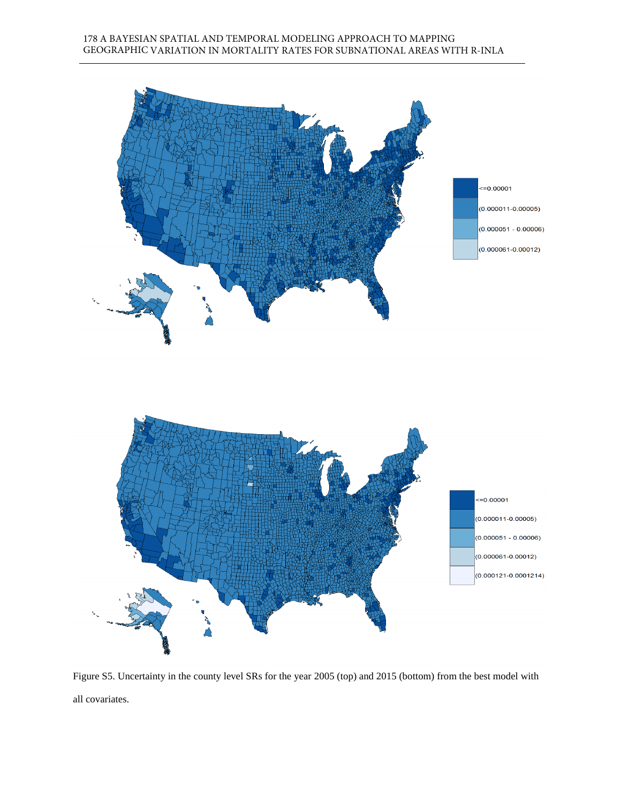

Figure S5. Uncertainty in the county level SRs for the year 2005 (top) and 2015 (bottom) from the best model with all covariates.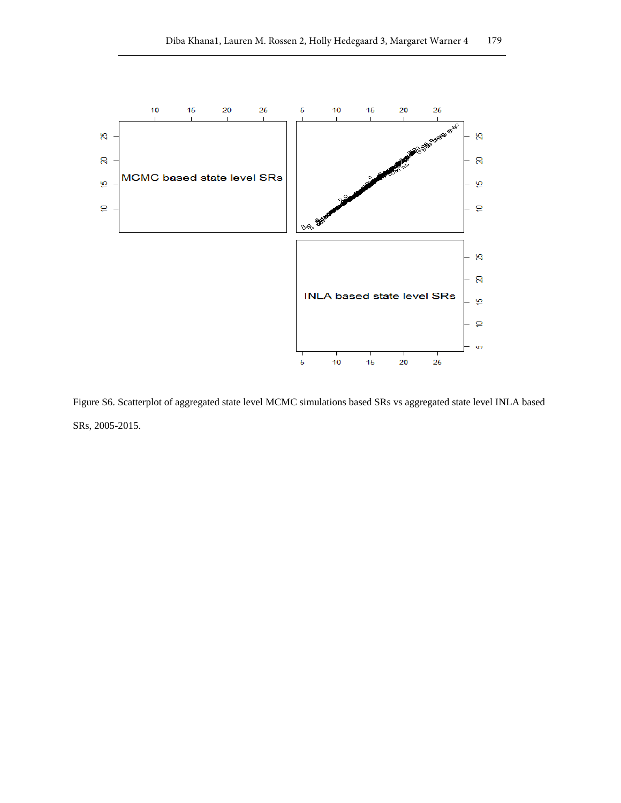

Figure S6. Scatterplot of aggregated state level MCMC simulations based SRs vs aggregated state level INLA based SRs, 2005-2015.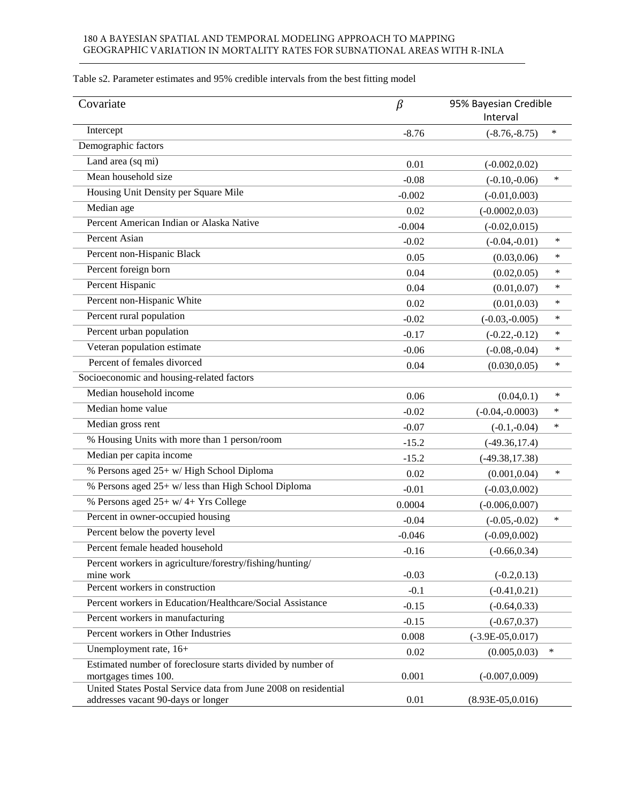## 180 A BAYESIAN SPATIAL AND TEMPORAL MODELING APPROACH TO MAPPING GEOGRAPHIC VARIATION IN MORTALITY RATES FOR SUBNATIONAL AREAS WITH R-INLA

| Covariate                                                                           | $\beta$  | 95% Bayesian Credible<br>Interval |        |
|-------------------------------------------------------------------------------------|----------|-----------------------------------|--------|
| Intercept                                                                           | $-8.76$  | $(-8.76,-8.75)$                   | *      |
| Demographic factors                                                                 |          |                                   |        |
| Land area (sq mi)                                                                   | 0.01     | $(-0.002, 0.02)$                  |        |
| Mean household size                                                                 | $-0.08$  | $(-0.10,-0.06)$                   | $\ast$ |
| Housing Unit Density per Square Mile                                                | $-0.002$ | $(-0.01, 0.003)$                  |        |
| Median age                                                                          | 0.02     | $(-0.0002, 0.03)$                 |        |
| Percent American Indian or Alaska Native                                            | $-0.004$ | $(-0.02, 0.015)$                  |        |
| <b>Percent Asian</b>                                                                | $-0.02$  | $(-0.04,-0.01)$                   | $\ast$ |
| Percent non-Hispanic Black                                                          | 0.05     | (0.03, 0.06)                      | ∗      |
| Percent foreign born                                                                | 0.04     | (0.02, 0.05)                      | ∗      |
| Percent Hispanic                                                                    | 0.04     | (0.01, 0.07)                      | ∗      |
| Percent non-Hispanic White                                                          | 0.02     | (0.01, 0.03)                      | $\ast$ |
| Percent rural population                                                            | $-0.02$  | $(-0.03,-0.005)$                  | ∗      |
| Percent urban population                                                            | $-0.17$  | $(-0.22,-0.12)$                   | $\ast$ |
| Veteran population estimate                                                         | $-0.06$  | $(-0.08,-0.04)$                   | ∗      |
| Percent of females divorced                                                         | 0.04     | (0.030, 0.05)                     | $\ast$ |
| Socioeconomic and housing-related factors                                           |          |                                   |        |
| Median household income                                                             | 0.06     | (0.04, 0.1)                       | ∗      |
| Median home value                                                                   | $-0.02$  | $(-0.04,-0.0003)$                 | $\ast$ |
| Median gross rent                                                                   | $-0.07$  | $(-0.1,-0.04)$                    | $\ast$ |
| % Housing Units with more than 1 person/room                                        | $-15.2$  | $(-49.36, 17.4)$                  |        |
| Median per capita income                                                            | $-15.2$  | $(-49.38, 17.38)$                 |        |
| % Persons aged 25+ w/ High School Diploma                                           | 0.02     | (0.001, 0.04)                     | $\ast$ |
| % Persons aged 25+ w/ less than High School Diploma                                 | $-0.01$  | $(-0.03, 0.002)$                  |        |
| % Persons aged 25+ w/ 4+ Yrs College                                                | 0.0004   | $(-0.006, 0.007)$                 |        |
| Percent in owner-occupied housing                                                   | $-0.04$  | $(-0.05,-0.02)$                   | $\ast$ |
| Percent below the poverty level                                                     | $-0.046$ | $(-0.09, 0.002)$                  |        |
| Percent female headed household                                                     | $-0.16$  | $(-0.66, 0.34)$                   |        |
| Percent workers in agriculture/forestry/fishing/hunting/                            |          |                                   |        |
| mine work                                                                           | $-0.03$  | $(-0.2, 0.13)$                    |        |
| Percent workers in construction                                                     | $-0.1$   | $(-0.41, 0.21)$                   |        |
| Percent workers in Education/Healthcare/Social Assistance                           | $-0.15$  | $(-0.64, 0.33)$                   |        |
| Percent workers in manufacturing                                                    | $-0.15$  | $(-0.67, 0.37)$                   |        |
| Percent workers in Other Industries                                                 | 0.008    | $(-3.9E-05, 0.017)$               |        |
| Unemployment rate, 16+                                                              | 0.02     | (0.005, 0.03)                     | $\ast$ |
| Estimated number of foreclosure starts divided by number of<br>mortgages times 100. | 0.001    | $(-0.007, 0.009)$                 |        |
| United States Postal Service data from June 2008 on residential                     |          |                                   |        |
| addresses vacant 90-days or longer                                                  | 0.01     | $(8.93E-05,0.016)$                |        |

Table s2. Parameter estimates and 95% credible intervals from the best fitting model